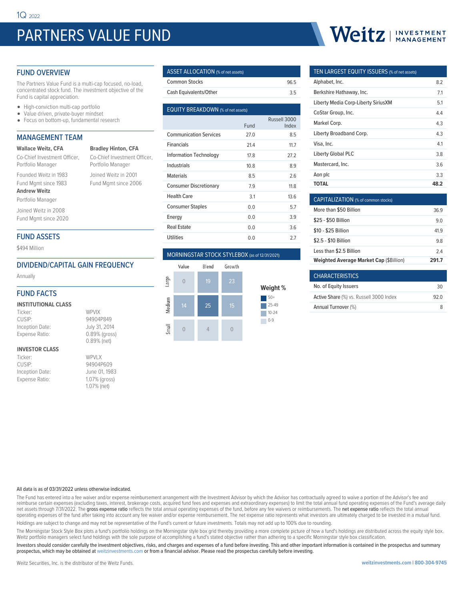# PARTNERS VALUE FUND

**Bradley Hinton, CFA** Co-Chief Investment Officer, Portfolio Manager Joined Weitz in 2001 Fund Mgmt since 2006

#### FUND OVERVIEW

The Partners Value Fund is a multi-cap focused, no-load, concentrated stock fund. The investment objective of the Fund is capital appreciation.

- High-conviction multi-cap portfolio
- Value driven, private-buyer mindset
- Focus on bottom-up, fundamental research

#### MANAGEMENT TEAM

#### **Wallace Weitz, CFA**

Co-Chief Investment Officer, Portfolio Manager

Founded Weitz in 1983

#### Fund Mgmt since 1983 **Andrew Weitz**

Portfolio Manager

Joined Weitz in 2008 Fund Mgmt since 2020

#### FUND ASSETS

\$494 Million

#### DIVIDEND/CAPITAL GAIN FREQUENCY

Annually

#### FUND FACTS

| <b>INSTITUTIONAL CLASS</b> |         |
|----------------------------|---------|
| Ticker:                    | WPVIX   |
| $\bigcap$                  | 0.10010 |

| Ticker:         | WPVIX         |
|-----------------|---------------|
| CUSIP:          | 94904P849     |
| Inception Date: | July 31, 2014 |
| Expense Ratio:  | 0.89% (gross) |
|                 | 0.89% (net)   |

#### **INVESTOR CLASS**

| Ticker:         | WPVI X        |
|-----------------|---------------|
| CUSIP:          | 94904P609     |
| Inception Date: | June 01, 1983 |
| Expense Ratio:  | 1.07% (gross) |
|                 | 1.07% (net)   |

| <b>ASSET ALLOCATION</b> (% of net assets) |      |
|-------------------------------------------|------|
| <b>Common Stocks</b>                      | 96.5 |
| Cash Equivalents/Other                    | 35   |

| <b>EQUITY BREAKDOWN</b> (% of net assets) |      |                       |  |  |  |  |  |
|-------------------------------------------|------|-----------------------|--|--|--|--|--|
|                                           | Fund | Russell 3000<br>Index |  |  |  |  |  |
| <b>Communication Services</b>             | 27.0 | 8.5                   |  |  |  |  |  |
| <b>Financials</b>                         | 21.4 | 11.7                  |  |  |  |  |  |
| <b>Information Technology</b>             | 17.8 | 27.2                  |  |  |  |  |  |
| Industrials                               | 10.8 | 89                    |  |  |  |  |  |
| <b>Materials</b>                          | 8.5  | 2.6                   |  |  |  |  |  |
| <b>Consumer Discretionary</b>             | 7.9  | 11.8                  |  |  |  |  |  |
| <b>Health Care</b>                        | 3.1  | 13.6                  |  |  |  |  |  |
| <b>Consumer Staples</b>                   | 0.0  | 5.7                   |  |  |  |  |  |
| Energy                                    | 0.0  | 3.9                   |  |  |  |  |  |
| Real Estate                               | 0.0  | 3.6                   |  |  |  |  |  |
| <b>Utilities</b>                          | 0.0  | 27                    |  |  |  |  |  |
|                                           |      |                       |  |  |  |  |  |

#### MORNINGSTAR STOCK STYLEBOX (as of 12/31/2021)



# Weitz | INVESTMENT

#### TEN LARGEST EQUITY ISSUERS (% of net assets)

| Alphabet, Inc.                      | 8.2  |
|-------------------------------------|------|
| Berkshire Hathaway, Inc.            | 7.1  |
| Liberty Media Corp-Liberty SiriusXM | 5.1  |
| CoStar Group, Inc.                  | 4.4  |
| Markel Corp.                        | 43   |
| Liberty Broadband Corp.             | 43   |
| Visa, Inc.                          | 41   |
| <b>Liberty Global PLC</b>           | 3.8  |
| Mastercard, Inc.                    | 3.6  |
| Aon plc                             | 3.3  |
| TOTAL                               | 48.2 |

| CAPITALIZATION (% of common stocks)            |      |
|------------------------------------------------|------|
| More than \$50 Billion                         | 369  |
| \$25 - \$50 Billion                            | 9 O  |
| \$10 - \$25 Billion                            | 419  |
| \$2.5 - \$10 Billion                           | 98   |
| Less than \$2.5 Billion                        | 24   |
| <b>Weighted Average Market Cap (\$Billion)</b> | 2917 |

| <b>CHARACTERISTICS</b>                  |      |
|-----------------------------------------|------|
| No. of Equity Issuers                   | 30   |
| Active Share (%) vs. Russell 3000 Index | 92 O |
| Annual Turnover (%)                     | я    |

#### All data is as of 03/31/2022 unless otherwise indicated.

The Fund has entered into a fee waiver and/or expense reimbursement arrangement with the Investment Advisor by which the Advisor has contractually agreed to waive a portion of the Advisor's fee and reimburse certain expenses (excluding taxes, interest, brokerage costs, acquired fund fees and expenses and extraordinary expenses) to limit the total annual fund operating expenses of the Fund's average daily net assets through 7/31/2022. The gross expense ratio reflects the total annual operating expenses of the fund, before any fee waivers or reimbursements. The net expense ratio reflects the total annual operating expenses of the fund after taking into account any fee waiver and/or expense reimbursement. The net expense ratio represents what investors are ultimately charged to be invested in a mutual fund. Holdings are subject to change and may not be representative of the Fund's current or future investments. Totals may not add up to 100% due to rounding.

The Morningstar Stock Style Box plots a fund's portfolio holdings on the Morningstar style box grid thereby providing a more complete picture of how a fund's holdings are distributed across the equity style box. Weitz portfolio managers select fund holdings with the sole purpose of accomplishing a fund's stated objective rather than adhering to a specific Morningstar style box classification.

Investors should consider carefully the investment objectives, risks, and charges and expenses of a fund before investing. This and other important information is contained in the prospectus and summary prospectus, which may be obtained at weitzinvestments.com or from a financial advisor. Please read the prospectus carefully before investing.